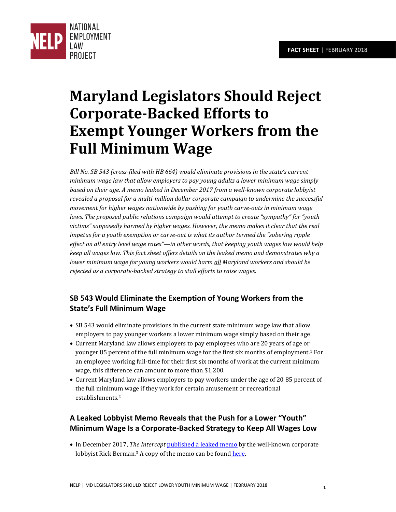

# **Maryland Legislators Should Reject Corporate-Backed Efforts to Exempt Younger Workers from the Full Minimum Wage**

*Bill No. SB 543 (cross-filed with HB 664) would eliminate provisions in the state's current minimum wage law that allow employers to pay young adults a lower minimum wage simply based on their age. A memo leaked in December 2017 from a well-known corporate lobbyist revealed a proposal for a multi-million dollar corporate campaign to undermine the successful movement for higher wages nationwide by pushing for youth carve-outs in minimum wage laws. The proposed public relations campaign would attempt to create "sympathy" for "youth victims" supposedly harmed by higher wages. However, the memo makes it clear that the real impetus for a youth exemption or carve-out is what its author termed the "sobering ripple effect on all entry level wage rates"—in other words, that keeping youth wages low would help keep all wages low. This fact sheet offers details on the leaked memo and demonstrates why a lower minimum wage for young workers would harm all Maryland workers and should be rejected as a corporate-backed strategy to stall efforts to raise wages.* 

## **SB 543 Would Eliminate the Exemption of Young Workers from the State's Full Minimum Wage**

- SB 543 would eliminate provisions in the current state minimum wage law that allow employers to pay younger workers a lower minimum wage simply based on their age.
- Current Maryland law allows employers to pay employees who are 20 years of age or younger 85 percent of the full minimum wage for the first six months of employment.1 For an employee working full-time for their first six months of work at the current minimum wage, this difference can amount to more than \$1,200.
- Current Maryland law allows employers to pay workers under the age of 20 85 percent of the full minimum wage if they work for certain amusement or recreational establishments.<sup>2</sup>

### **A Leaked Lobbyist Memo Reveals that the Push for a Lower "Youth" Minimum Wage Is a Corporate-Backed Strategy to Keep All Wages Low**

• In December 2017, *The Intercept* [published a leaked memo b](https://theintercept.com/2017/12/14/minimum-wage-rick-berman-democrats/)y the well-known corporate lobbyist Rick Berman.<sup>3</sup> A copy of the memo can be foun[d here.](https://www.documentcloud.org/documents/4327790-Rick-Berman-2018.html)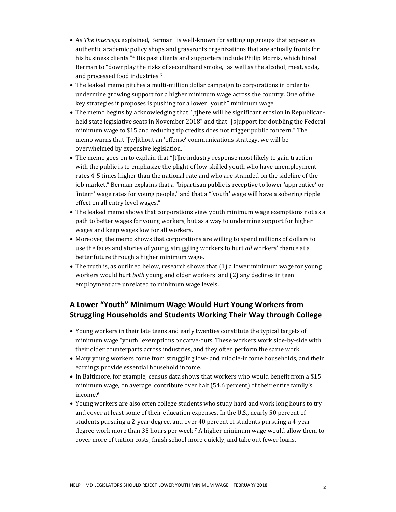- As *The Intercept* explained, Berman "is well-known for setting up groups that appear as authentic academic policy shops and grassroots organizations that are actually fronts for his business clients."<sup>4</sup> His past clients and supporters include Philip Morris, which hired Berman to "downplay the risks of secondhand smoke," as well as the alcohol, meat, soda, and processed food industries.<sup>5</sup>
- The leaked memo pitches a multi-million dollar campaign to corporations in order to undermine growing support for a higher minimum wage across the country. One of the key strategies it proposes is pushing for a lower "youth" minimum wage.
- The memo begins by acknowledging that "[t]here will be significant erosion in Republicanheld state legislative seats in November 2018" and that "[s]upport for doubling the Federal minimum wage to \$15 and reducing tip credits does not trigger public concern." The memo warns that "[w]ithout an 'offense' communications strategy, we will be overwhelmed by expensive legislation."
- The memo goes on to explain that "[t]he industry response most likely to gain traction with the public is to emphasize the plight of low-skilled youth who have unemployment rates 4-5 times higher than the national rate and who are stranded on the sideline of the job market." Berman explains that a "bipartisan public is receptive to lower 'apprentice' or 'intern' wage rates for young people," and that a "'youth' wage will have a sobering ripple effect on all entry level wages."
- The leaked memo shows that corporations view youth minimum wage exemptions not as a path to better wages for young workers, but as a way to undermine support for higher wages and keep wages low for all workers.
- Moreover, the memo shows that corporations are willing to spend millions of dollars to use the faces and stories of young, struggling workers to hurt *all* workers' chance at a better future through a higher minimum wage.
- The truth is, as outlined below, research shows that (1) a lower minimum wage for young workers would hurt *both* young and older workers, and (2) any declines in teen employment are unrelated to minimum wage levels.

#### **A Lower "Youth" Minimum Wage Would Hurt Young Workers from Struggling Households and Students Working Their Way through College**

- Young workers in their late teens and early twenties constitute the typical targets of minimum wage "youth" exemptions or carve-outs. These workers work side-by-side with their older counterparts across industries, and they often perform the same work.
- Many young workers come from struggling low- and middle-income households, and their earnings provide essential household income.
- In Baltimore, for example, census data shows that workers who would benefit from a \$15 minimum wage, on average, contribute over half (54.6 percent) of their entire family's income.<sup>6</sup>
- Young workers are also often college students who study hard and work long hours to try and cover at least some of their education expenses. In the U.S., nearly 50 percent of students pursuing a 2-year degree, and over 40 percent of students pursuing a 4-year degree work more than 35 hours per week.7 A higher minimum wage would allow them to cover more of tuition costs, finish school more quickly, and take out fewer loans.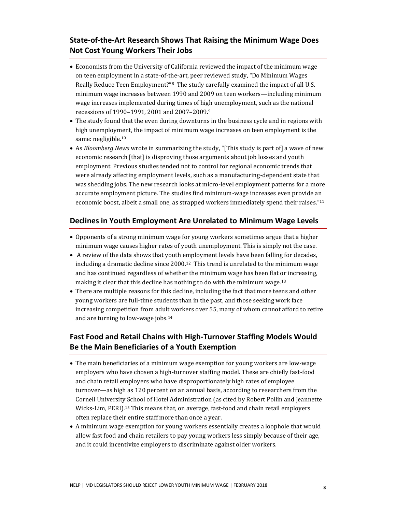#### **State-of-the-Art Research Shows That Raising the Minimum Wage Does Not Cost Young Workers Their Jobs**

- Economists from the University of California reviewed the impact of the minimum wage on teen employment in a state-of-the-art, peer reviewed study, "Do Minimum Wages Really Reduce Teen Employment?" <sup>8</sup> The study carefully examined the impact of all U.S. minimum wage increases between 1990 and 2009 on teen workers—including minimum wage increases implemented during times of high unemployment, such as the national recessions of 1990–1991, 2001 and 2007–2009.<sup>9</sup>
- The study found that the even during downturns in the business cycle and in regions with high unemployment, the impact of minimum wage increases on teen employment is the same: negligible.<sup>10</sup>
- As *Bloomberg News* wrote in summarizing the study, "[This study is part of] a wave of new economic research [that] is disproving those arguments about job losses and youth employment. Previous studies tended not to control for regional economic trends that were already affecting employment levels, such as a manufacturing-dependent state that was shedding jobs. The new research looks at micro-level employment patterns for a more accurate employment picture. The studies find minimum-wage increases even provide an economic boost, albeit a small one, as strapped workers immediately spend their raises." 11

#### **Declines in Youth Employment Are Unrelated to Minimum Wage Levels**

- Opponents of a strong minimum wage for young workers sometimes argue that a higher minimum wage causes higher rates of youth unemployment. This is simply not the case.
- A review of the data shows that youth employment levels have been falling for decades, including a dramatic decline since  $2000<sup>12</sup>$  This trend is unrelated to the minimum wage and has continued regardless of whether the minimum wage has been flat or increasing, making it clear that this decline has nothing to do with the minimum wage.<sup>13</sup>
- There are multiple reasons for this decline, including the fact that more teens and other young workers are full-time students than in the past, and those seeking work face increasing competition from adult workers over 55, many of whom cannot afford to retire and are turning to low-wage jobs.<sup>14</sup>

#### **Fast Food and Retail Chains with High-Turnover Staffing Models Would Be the Main Beneficiaries of a Youth Exemption**

- The main beneficiaries of a minimum wage exemption for young workers are low-wage employers who have chosen a high-turnover staffing model. These are chiefly fast-food and chain retail employers who have disproportionately high rates of employee turnover—as high as 120 percent on an annual basis, according to researchers from the Cornell University School of Hotel Administration (as cited by Robert Pollin and Jeannette Wicks-Lim, PERI).15 This means that, on average, fast-food and chain retail employers often replace their entire staff more than once a year.
- A minimum wage exemption for young workers essentially creates a loophole that would allow fast food and chain retailers to pay young workers less simply because of their age, and it could incentivize employers to discriminate against older workers.